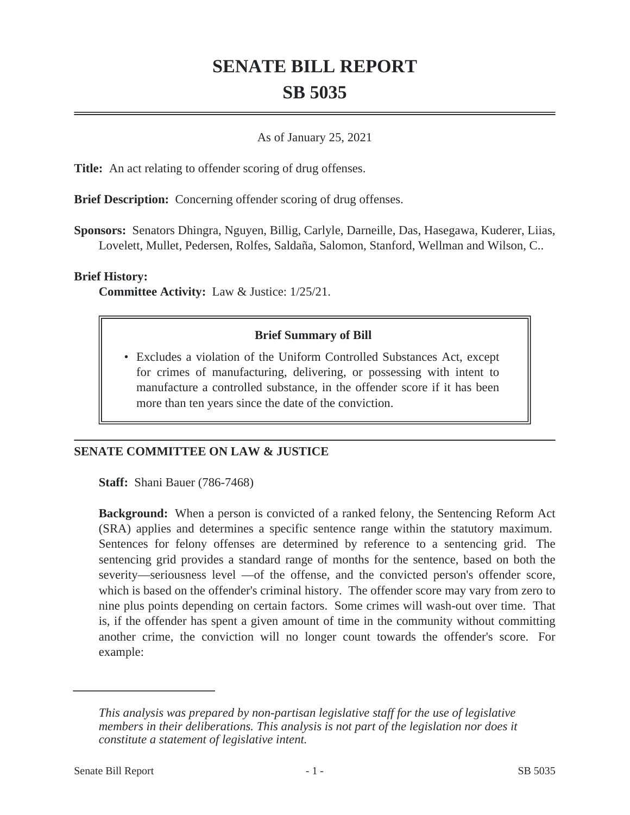# **SENATE BILL REPORT SB 5035**

### As of January 25, 2021

**Title:** An act relating to offender scoring of drug offenses.

**Brief Description:** Concerning offender scoring of drug offenses.

**Sponsors:** Senators Dhingra, Nguyen, Billig, Carlyle, Darneille, Das, Hasegawa, Kuderer, Liias, Lovelett, Mullet, Pedersen, Rolfes, Saldaña, Salomon, Stanford, Wellman and Wilson, C..

#### **Brief History:**

**Committee Activity:** Law & Justice: 1/25/21.

### **Brief Summary of Bill**

Excludes a violation of the Uniform Controlled Substances Act, except • for crimes of manufacturing, delivering, or possessing with intent to manufacture a controlled substance, in the offender score if it has been more than ten years since the date of the conviction.

## **SENATE COMMITTEE ON LAW & JUSTICE**

**Staff:** Shani Bauer (786-7468)

**Background:** When a person is convicted of a ranked felony, the Sentencing Reform Act (SRA) applies and determines a specific sentence range within the statutory maximum. Sentences for felony offenses are determined by reference to a sentencing grid. The sentencing grid provides a standard range of months for the sentence, based on both the severity—seriousness level —of the offense, and the convicted person's offender score, which is based on the offender's criminal history. The offender score may vary from zero to nine plus points depending on certain factors. Some crimes will wash-out over time. That is, if the offender has spent a given amount of time in the community without committing another crime, the conviction will no longer count towards the offender's score. For example:

*This analysis was prepared by non-partisan legislative staff for the use of legislative members in their deliberations. This analysis is not part of the legislation nor does it constitute a statement of legislative intent.*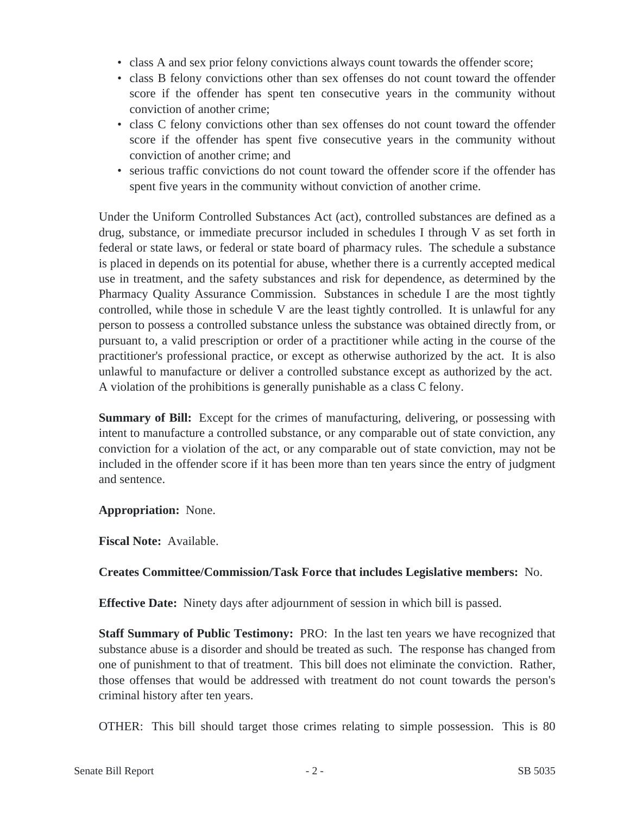- class A and sex prior felony convictions always count towards the offender score;
- class B felony convictions other than sex offenses do not count toward the offender score if the offender has spent ten consecutive years in the community without conviction of another crime;
- class C felony convictions other than sex offenses do not count toward the offender score if the offender has spent five consecutive years in the community without conviction of another crime; and
- serious traffic convictions do not count toward the offender score if the offender has spent five years in the community without conviction of another crime.

Under the Uniform Controlled Substances Act (act), controlled substances are defined as a drug, substance, or immediate precursor included in schedules I through V as set forth in federal or state laws, or federal or state board of pharmacy rules. The schedule a substance is placed in depends on its potential for abuse, whether there is a currently accepted medical use in treatment, and the safety substances and risk for dependence, as determined by the Pharmacy Quality Assurance Commission. Substances in schedule I are the most tightly controlled, while those in schedule V are the least tightly controlled. It is unlawful for any person to possess a controlled substance unless the substance was obtained directly from, or pursuant to, a valid prescription or order of a practitioner while acting in the course of the practitioner's professional practice, or except as otherwise authorized by the act. It is also unlawful to manufacture or deliver a controlled substance except as authorized by the act. A violation of the prohibitions is generally punishable as a class C felony.

**Summary of Bill:** Except for the crimes of manufacturing, delivering, or possessing with intent to manufacture a controlled substance, or any comparable out of state conviction, any conviction for a violation of the act, or any comparable out of state conviction, may not be included in the offender score if it has been more than ten years since the entry of judgment and sentence.

**Appropriation:** None.

**Fiscal Note:** Available.

## **Creates Committee/Commission/Task Force that includes Legislative members:** No.

**Effective Date:** Ninety days after adjournment of session in which bill is passed.

**Staff Summary of Public Testimony:** PRO: In the last ten years we have recognized that substance abuse is a disorder and should be treated as such. The response has changed from one of punishment to that of treatment. This bill does not eliminate the conviction. Rather, those offenses that would be addressed with treatment do not count towards the person's criminal history after ten years.

OTHER: This bill should target those crimes relating to simple possession. This is 80